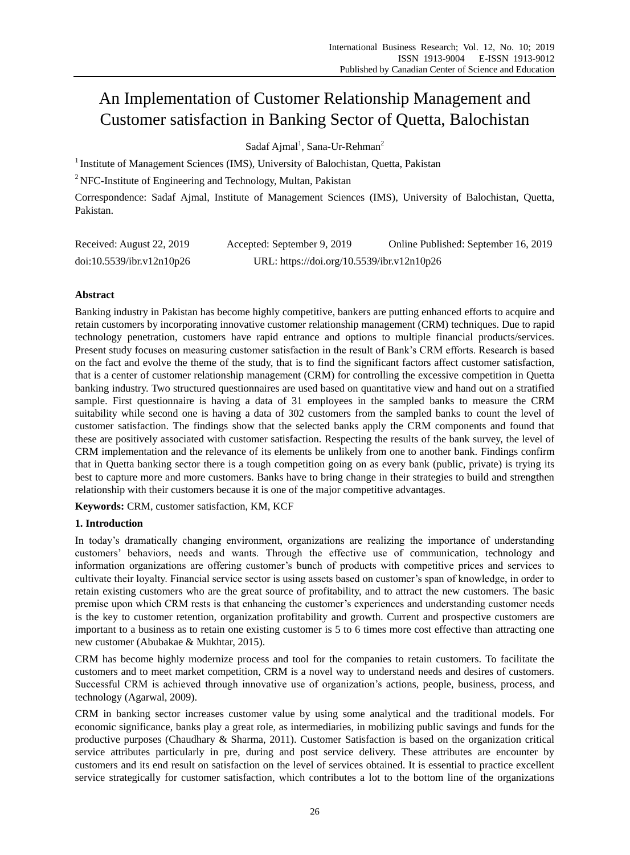# An Implementation of Customer Relationship Management and Customer satisfaction in Banking Sector of Quetta, Balochistan

Sadaf Ajmal<sup>1</sup>, Sana-Ur-Rehman<sup>2</sup>

<sup>1</sup> Institute of Management Sciences (IMS), University of Balochistan, Quetta, Pakistan

<sup>2</sup> NFC-Institute of Engineering and Technology, Multan, Pakistan

Correspondence: Sadaf Ajmal, Institute of Management Sciences (IMS), University of Balochistan, Quetta, Pakistan.

| Received: August 22, 2019 | Accepted: September 9, 2019                | Online Published: September 16, 2019 |
|---------------------------|--------------------------------------------|--------------------------------------|
| doi:10.5539/ibr.v12n10p26 | URL: https://doi.org/10.5539/ibr.v12n10p26 |                                      |

# **Abstract**

Banking industry in Pakistan has become highly competitive, bankers are putting enhanced efforts to acquire and retain customers by incorporating innovative customer relationship management (CRM) techniques. Due to rapid technology penetration, customers have rapid entrance and options to multiple financial products/services. Present study focuses on measuring customer satisfaction in the result of Bank's CRM efforts. Research is based on the fact and evolve the theme of the study, that is to find the significant factors affect customer satisfaction, that is a center of customer relationship management (CRM) for controlling the excessive competition in Quetta banking industry. Two structured questionnaires are used based on quantitative view and hand out on a stratified sample. First questionnaire is having a data of 31 employees in the sampled banks to measure the CRM suitability while second one is having a data of 302 customers from the sampled banks to count the level of customer satisfaction. The findings show that the selected banks apply the CRM components and found that these are positively associated with customer satisfaction. Respecting the results of the bank survey, the level of CRM implementation and the relevance of its elements be unlikely from one to another bank. Findings confirm that in Quetta banking sector there is a tough competition going on as every bank (public, private) is trying its best to capture more and more customers. Banks have to bring change in their strategies to build and strengthen relationship with their customers because it is one of the major competitive advantages.

**Keywords:** CRM, customer satisfaction, KM, KCF

# **1. Introduction**

In today's dramatically changing environment, organizations are realizing the importance of understanding customers' behaviors, needs and wants. Through the effective use of communication, technology and information organizations are offering customer's bunch of products with competitive prices and services to cultivate their loyalty. Financial service sector is using assets based on customer's span of knowledge, in order to retain existing customers who are the great source of profitability, and to attract the new customers. The basic premise upon which CRM rests is that enhancing the customer's experiences and understanding customer needs is the key to customer retention, organization profitability and growth. Current and prospective customers are important to a business as to retain one existing customer is 5 to 6 times more cost effective than attracting one new customer (Abubakae & Mukhtar, 2015).

CRM has become highly modernize process and tool for the companies to retain customers. To facilitate the customers and to meet market competition, CRM is a novel way to understand needs and desires of customers. Successful CRM is achieved through innovative use of organization's actions, people, business, process, and technology (Agarwal, 2009).

CRM in banking sector increases customer value by using some analytical and the traditional models. For economic significance, banks play a great role, as intermediaries, in mobilizing public savings and funds for the productive purposes (Chaudhary & Sharma, 2011). Customer Satisfaction is based on the organization critical service attributes particularly in pre, during and post service delivery. These attributes are encounter by customers and its end result on satisfaction on the level of services obtained. It is essential to practice excellent service strategically for customer satisfaction, which contributes a lot to the bottom line of the organizations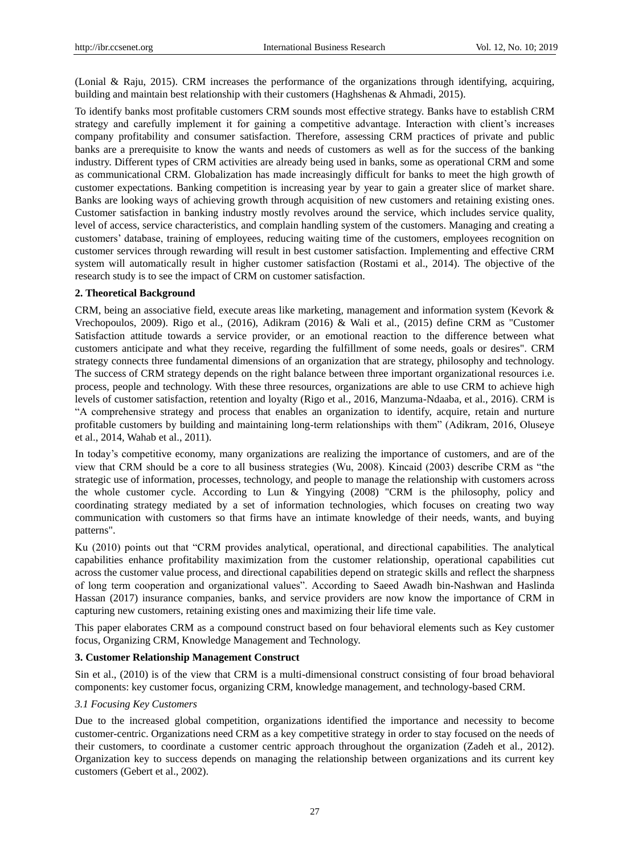(Lonial & Raju, 2015). CRM increases the performance of the organizations through identifying, acquiring, building and maintain best relationship with their customers (Haghshenas & Ahmadi, 2015).

To identify banks most profitable customers CRM sounds most effective strategy. Banks have to establish CRM strategy and carefully implement it for gaining a competitive advantage. Interaction with client's increases company profitability and consumer satisfaction. Therefore, assessing CRM practices of private and public banks are a prerequisite to know the wants and needs of customers as well as for the success of the banking industry. Different types of CRM activities are already being used in banks, some as operational CRM and some as communicational CRM. Globalization has made increasingly difficult for banks to meet the high growth of customer expectations. Banking competition is increasing year by year to gain a greater slice of market share. Banks are looking ways of achieving growth through acquisition of new customers and retaining existing ones. Customer satisfaction in banking industry mostly revolves around the service, which includes service quality, level of access, service characteristics, and complain handling system of the customers. Managing and creating a customers' database, training of employees, reducing waiting time of the customers, employees recognition on customer services through rewarding will result in best customer satisfaction. Implementing and effective CRM system will automatically result in higher customer satisfaction (Rostami et al., 2014). The objective of the research study is to see the impact of CRM on customer satisfaction.

#### **2. Theoretical Background**

CRM, being an associative field, execute areas like marketing, management and information system (Kevork & Vrechopoulos, 2009). Rigo et al., (2016), Adikram (2016) & Wali et al., (2015) define CRM as "Customer Satisfaction attitude towards a service provider, or an emotional reaction to the difference between what customers anticipate and what they receive, regarding the fulfillment of some needs, goals or desires". CRM strategy connects three fundamental dimensions of an organization that are strategy, philosophy and technology. The success of CRM strategy depends on the right balance between three important organizational resources i.e. process, people and technology. With these three resources, organizations are able to use CRM to achieve high levels of customer satisfaction, retention and loyalty (Rigo et al., 2016, Manzuma-Ndaaba, et al., 2016). CRM is "A comprehensive strategy and process that enables an organization to identify, acquire, retain and nurture profitable customers by building and maintaining long-term relationships with them" (Adikram, 2016, Oluseye et al., 2014, Wahab et al., 2011).

In today's competitive economy, many organizations are realizing the importance of customers, and are of the view that CRM should be a core to all business strategies (Wu, 2008). Kincaid (2003) describe CRM as "the strategic use of information, processes, technology, and people to manage the relationship with customers across the whole customer cycle. According to Lun & Yingying (2008) "CRM is the philosophy, policy and coordinating strategy mediated by a set of information technologies, which focuses on creating two way communication with customers so that firms have an intimate knowledge of their needs, wants, and buying patterns".

Ku (2010) points out that "CRM provides analytical, operational, and directional capabilities. The analytical capabilities enhance profitability maximization from the customer relationship, operational capabilities cut across the customer value process, and directional capabilities depend on strategic skills and reflect the sharpness of long term cooperation and organizational values". According to Saeed Awadh bin-Nashwan and Haslinda Hassan (2017) insurance companies, banks, and service providers are now know the importance of CRM in capturing new customers, retaining existing ones and maximizing their life time vale.

This paper elaborates CRM as a compound construct based on four behavioral elements such as Key customer focus, Organizing CRM, Knowledge Management and Technology.

## **3. Customer Relationship Management Construct**

Sin et al., (2010) is of the view that CRM is a multi-dimensional construct consisting of four broad behavioral components: key customer focus, organizing CRM, knowledge management, and technology-based CRM.

#### *3.1 Focusing Key Customers*

Due to the increased global competition, organizations identified the importance and necessity to become customer-centric. Organizations need CRM as a key competitive strategy in order to stay focused on the needs of their customers, to coordinate a customer centric approach throughout the organization (Zadeh et al., 2012). Organization key to success depends on managing the relationship between organizations and its current key customers (Gebert et al., 2002).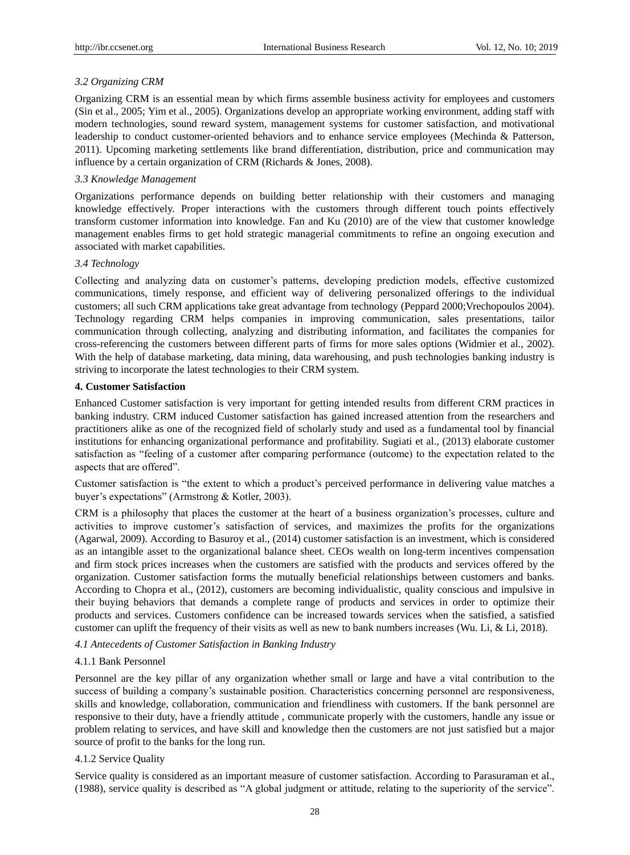# *3.2 Organizing CRM*

Organizing CRM is an essential mean by which firms assemble business activity for employees and customers (Sin et al., 2005; Yim et al., 2005). Organizations develop an appropriate working environment, adding staff with modern technologies, sound reward system, management systems for customer satisfaction, and motivational leadership to conduct customer-oriented behaviors and to enhance service employees (Mechinda & Patterson, 2011). Upcoming marketing settlements like brand differentiation, distribution, price and communication may influence by a certain organization of CRM (Richards & Jones, 2008).

# *3.3 Knowledge Management*

Organizations performance depends on building better relationship with their customers and managing knowledge effectively. Proper interactions with the customers through different touch points effectively transform customer information into knowledge. Fan and Ku (2010) are of the view that customer knowledge management enables firms to get hold strategic managerial commitments to refine an ongoing execution and associated with market capabilities.

# *3.4 Technology*

Collecting and analyzing data on customer's patterns, developing prediction models, effective customized communications, timely response, and efficient way of delivering personalized offerings to the individual customers; all such CRM applications take great advantage from technology (Peppard 2000;Vrechopoulos 2004). Technology regarding CRM helps companies in improving communication, sales presentations, tailor communication through collecting, analyzing and distributing information, and facilitates the companies for cross-referencing the customers between different parts of firms for more sales options (Widmier et al., 2002). With the help of database marketing, data mining, data warehousing, and push technologies banking industry is striving to incorporate the latest technologies to their CRM system.

# **4. Customer Satisfaction**

Enhanced Customer satisfaction is very important for getting intended results from different CRM practices in banking industry. CRM induced Customer satisfaction has gained increased attention from the researchers and practitioners alike as one of the recognized field of scholarly study and used as a fundamental tool by financial institutions for enhancing organizational performance and profitability. Sugiati et al., (2013) elaborate customer satisfaction as "feeling of a customer after comparing performance (outcome) to the expectation related to the aspects that are offered".

Customer satisfaction is "the extent to which a product's perceived performance in delivering value matches a buyer's expectations" (Armstrong & Kotler, 2003).

CRM is a philosophy that places the customer at the heart of a business organization's processes, culture and activities to improve customer's satisfaction of services, and maximizes the profits for the organizations (Agarwal, 2009). According to Basuroy et al., (2014) customer satisfaction is an investment, which is considered as an intangible asset to the organizational balance sheet. CEOs wealth on long-term incentives compensation and firm stock prices increases when the customers are satisfied with the products and services offered by the organization. Customer satisfaction forms the mutually beneficial relationships between customers and banks. According to Chopra et al., (2012), customers are becoming individualistic, quality conscious and impulsive in their buying behaviors that demands a complete range of products and services in order to optimize their products and services. Customers confidence can be increased towards services when the satisfied, a satisfied customer can uplift the frequency of their visits as well as new to bank numbers increases (Wu. Li, & Li, 2018).

# *4.1 Antecedents of Customer Satisfaction in Banking Industry*

# 4.1.1 Bank Personnel

Personnel are the key pillar of any organization whether small or large and have a vital contribution to the success of building a company's sustainable position. Characteristics concerning personnel are responsiveness, skills and knowledge, collaboration, communication and friendliness with customers. If the bank personnel are responsive to their duty, have a friendly attitude , communicate properly with the customers, handle any issue or problem relating to services, and have skill and knowledge then the customers are not just satisfied but a major source of profit to the banks for the long run.

# 4.1.2 Service Quality

Service quality is considered as an important measure of customer satisfaction. According to Parasuraman et al., (1988), service quality is described as "A global judgment or attitude, relating to the superiority of the service".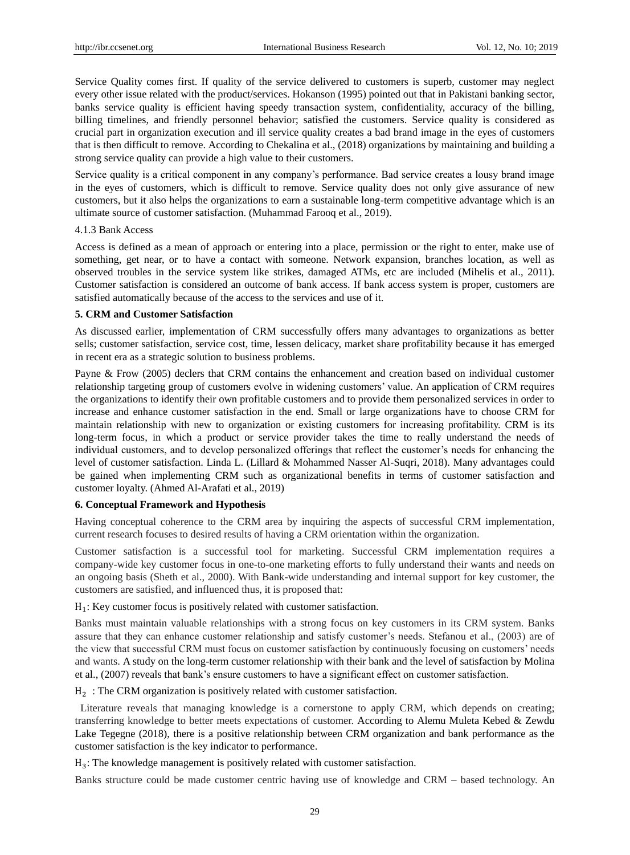Service Quality comes first. If quality of the service delivered to customers is superb, customer may neglect every other issue related with the product/services. Hokanson (1995) pointed out that in Pakistani banking sector, banks service quality is efficient having speedy transaction system, confidentiality, accuracy of the billing, billing timelines, and friendly personnel behavior; satisfied the customers. Service quality is considered as crucial part in organization execution and ill service quality creates a bad brand image in the eyes of customers that is then difficult to remove. According to Chekalina et al., (2018) organizations by maintaining and building a strong service quality can provide a high value to their customers.

Service quality is a critical component in any company's performance. Bad service creates a lousy brand image in the eyes of customers, which is difficult to remove. Service quality does not only give assurance of new customers, but it also helps the organizations to earn a sustainable long-term competitive advantage which is an ultimate source of customer satisfaction. (Muhammad Farooq et al., 2019).

#### 4.1.3 Bank Access

Access is defined as a mean of approach or entering into a place, permission or the right to enter, make use of something, get near, or to have a contact with someone. Network expansion, branches location, as well as observed troubles in the service system like strikes, damaged ATMs, etc are included (Mihelis et al., 2011). Customer satisfaction is considered an outcome of bank access. If bank access system is proper, customers are satisfied automatically because of the access to the services and use of it.

#### **5. CRM and Customer Satisfaction**

As discussed earlier, implementation of CRM successfully offers many advantages to organizations as better sells; customer satisfaction, service cost, time, lessen delicacy, market share profitability because it has emerged in recent era as a strategic solution to business problems.

Payne & Frow (2005) declers that CRM contains the enhancement and creation based on individual customer relationship targeting group of customers evolve in widening customers' value. An application of CRM requires the organizations to identify their own profitable customers and to provide them personalized services in order to increase and enhance customer satisfaction in the end. Small or large organizations have to choose CRM for maintain relationship with new to organization or existing customers for increasing profitability. CRM is its long-term focus, in which a product or service provider takes the time to really understand the needs of individual customers, and to develop personalized offerings that reflect the customer's needs for enhancing the level of customer satisfaction. Linda L. (Lillard & Mohammed Nasser Al-Suqri, 2018). Many advantages could be gained when implementing CRM such as organizational benefits in terms of customer satisfaction and customer loyalty. (Ahmed Al-Arafati et al., 2019)

#### **6. Conceptual Framework and Hypothesis**

Having conceptual coherence to the CRM area by inquiring the aspects of successful CRM implementation, current research focuses to desired results of having a CRM orientation within the organization.

Customer satisfaction is a successful tool for marketing. Successful CRM implementation requires a company-wide key customer focus in one-to-one marketing efforts to fully understand their wants and needs on an ongoing basis (Sheth et al., 2000). With Bank-wide understanding and internal support for key customer, the customers are satisfied, and influenced thus, it is proposed that:

H<sub>1</sub>: Key customer focus is positively related with customer satisfaction.

Banks must maintain valuable relationships with a strong focus on key customers in its CRM system. Banks assure that they can enhance customer relationship and satisfy customer's needs. Stefanou et al., (2003) are of the view that successful CRM must focus on customer satisfaction by continuously focusing on customers' needs and wants. A study on the long-term customer relationship with their bank and the level of satisfaction by Molina et al., (2007) reveals that bank's ensure customers to have a significant effect on customer satisfaction.

H<sub>2</sub>: The CRM organization is positively related with customer satisfaction.

Literature reveals that managing knowledge is a cornerstone to apply CRM, which depends on creating; transferring knowledge to better meets expectations of customer. According to Alemu Muleta Kebed & Zewdu Lake Tegegne (2018), there is a positive relationship between CRM organization and bank performance as the customer satisfaction is the key indicator to performance.

H<sub>3</sub>: The knowledge management is positively related with customer satisfaction.

Banks structure could be made customer centric having use of knowledge and CRM – based technology. An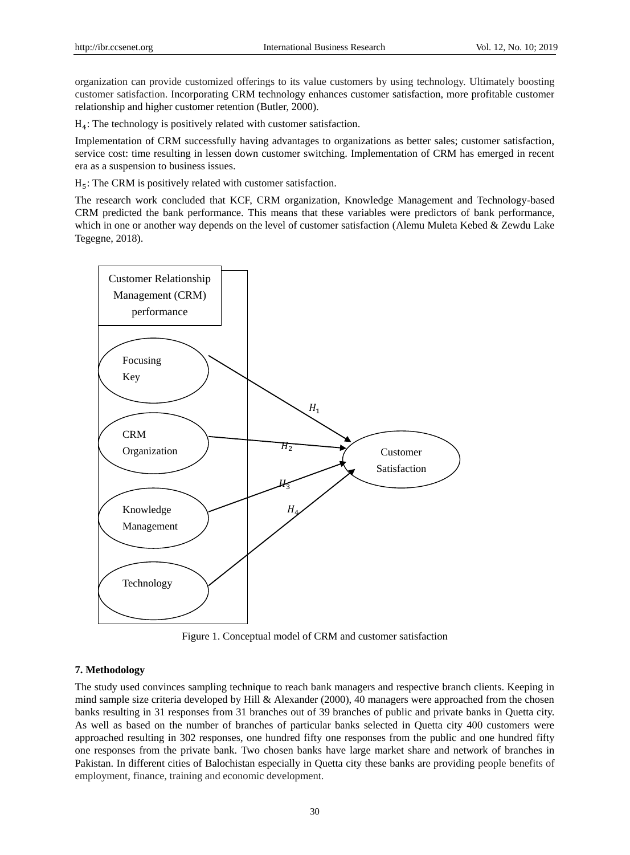organization can provide customized offerings to its value customers by using technology. Ultimately boosting customer satisfaction. Incorporating CRM technology enhances customer satisfaction, more profitable customer relationship and higher customer retention (Butler, 2000).

 $H_4$ : The technology is positively related with customer satisfaction.

Implementation of CRM successfully having advantages to organizations as better sales; customer satisfaction, service cost: time resulting in lessen down customer switching. Implementation of CRM has emerged in recent era as a suspension to business issues.

 $H<sub>5</sub>$ : The CRM is positively related with customer satisfaction.

The research work concluded that KCF, CRM organization, Knowledge Management and Technology-based CRM predicted the bank performance. This means that these variables were predictors of bank performance, which in one or another way depends on the level of customer satisfaction (Alemu Muleta Kebed & Zewdu Lake Tegegne, 2018).



Figure 1. Conceptual model of CRM and customer satisfaction

## **7. Methodology**

The study used convinces sampling technique to reach bank managers and respective branch clients. Keeping in mind sample size criteria developed by Hill & Alexander (2000), 40 managers were approached from the chosen banks resulting in 31 responses from 31 branches out of 39 branches of public and private banks in Quetta city. As well as based on the number of branches of particular banks selected in Quetta city 400 customers were approached resulting in 302 responses, one hundred fifty one responses from the public and one hundred fifty one responses from the private bank. Two chosen banks have large market share and network of branches in Pakistan. In different cities of Balochistan especially in Quetta city these banks are providing people benefits of employment, finance, training and economic development.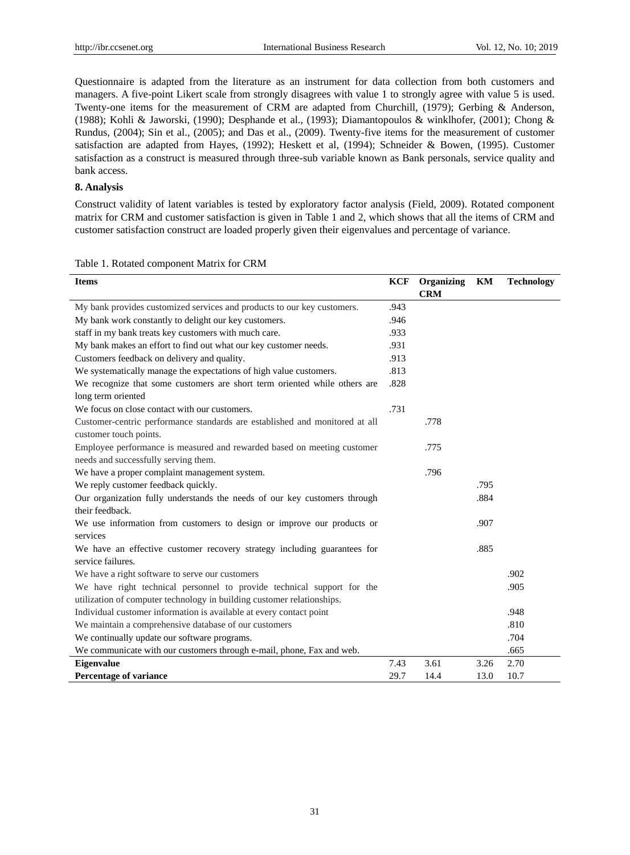Questionnaire is adapted from the literature as an instrument for data collection from both customers and managers. A five-point Likert scale from strongly disagrees with value 1 to strongly agree with value 5 is used. Twenty-one items for the measurement of CRM are adapted from Churchill, (1979); Gerbing & Anderson, (1988); Kohli & Jaworski, (1990); Desphande et al., (1993); Diamantopoulos & winklhofer, (2001); Chong & Rundus, (2004); Sin et al., (2005); and Das et al., (2009). Twenty-five items for the measurement of customer satisfaction are adapted from Hayes, (1992); Heskett et al, (1994); Schneider & Bowen, (1995). Customer satisfaction as a construct is measured through three-sub variable known as Bank personals, service quality and bank access.

## **8. Analysis**

Construct validity of latent variables is tested by exploratory factor analysis (Field, 2009). Rotated component matrix for CRM and customer satisfaction is given in Table 1 and 2, which shows that all the items of CRM and customer satisfaction construct are loaded properly given their eigenvalues and percentage of variance.

| <b>Items</b>                                                                                                    | KCF  | Organizing | KM   | <b>Technology</b> |
|-----------------------------------------------------------------------------------------------------------------|------|------------|------|-------------------|
|                                                                                                                 |      | <b>CRM</b> |      |                   |
| My bank provides customized services and products to our key customers.                                         | .943 |            |      |                   |
| My bank work constantly to delight our key customers.                                                           | .946 |            |      |                   |
| staff in my bank treats key customers with much care.                                                           | .933 |            |      |                   |
| My bank makes an effort to find out what our key customer needs.                                                | .931 |            |      |                   |
| Customers feedback on delivery and quality.                                                                     | .913 |            |      |                   |
| We systematically manage the expectations of high value customers.                                              | .813 |            |      |                   |
| We recognize that some customers are short term oriented while others are                                       | .828 |            |      |                   |
| long term oriented                                                                                              |      |            |      |                   |
| We focus on close contact with our customers.                                                                   | .731 |            |      |                   |
| Customer-centric performance standards are established and monitored at all<br>customer touch points.           |      | .778       |      |                   |
| Employee performance is measured and rewarded based on meeting customer<br>needs and successfully serving them. |      | .775       |      |                   |
| We have a proper complaint management system.                                                                   |      | .796       |      |                   |
| We reply customer feedback quickly.                                                                             |      |            | .795 |                   |
| Our organization fully understands the needs of our key customers through                                       |      |            | .884 |                   |
| their feedback.                                                                                                 |      |            |      |                   |
| We use information from customers to design or improve our products or<br>services                              |      |            | .907 |                   |
| We have an effective customer recovery strategy including guarantees for<br>service failures.                   |      |            | .885 |                   |
| We have a right software to serve our customers                                                                 |      |            |      | .902              |
| We have right technical personnel to provide technical support for the                                          |      |            |      | .905              |
| utilization of computer technology in building customer relationships.                                          |      |            |      |                   |
| Individual customer information is available at every contact point                                             |      |            |      | .948              |
| We maintain a comprehensive database of our customers                                                           |      |            |      | .810              |
| We continually update our software programs.                                                                    |      |            |      | .704              |
| We communicate with our customers through e-mail, phone, Fax and web.                                           |      |            |      | .665              |
| <b>Eigenvalue</b>                                                                                               | 7.43 | 3.61       | 3.26 | 2.70              |
| Percentage of variance                                                                                          | 29.7 | 14.4       | 13.0 | 10.7              |

## Table 1. Rotated component Matrix for CRM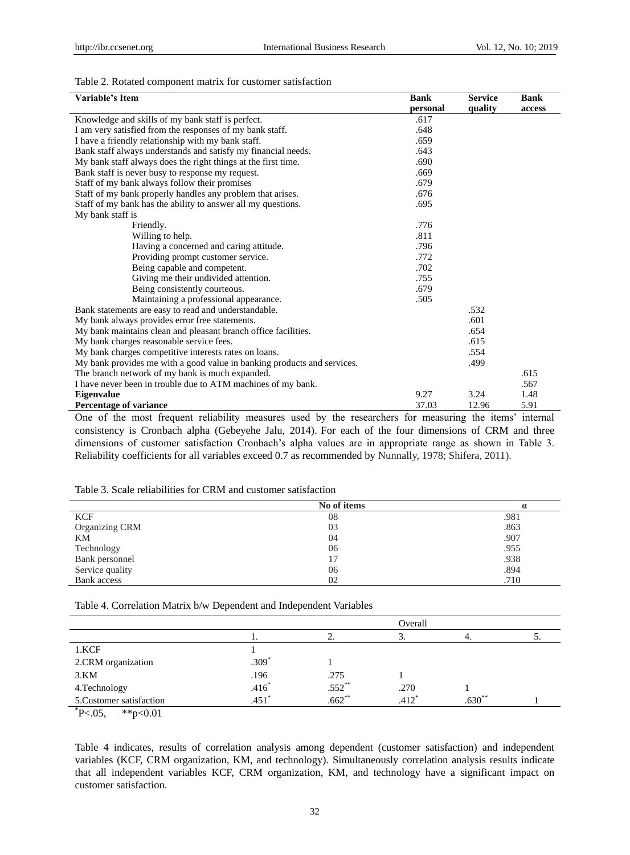#### Table 2. Rotated component matrix for customer satisfaction

| Variable's Item                                                         | <b>Bank</b> | <b>Service</b> | <b>Bank</b> |
|-------------------------------------------------------------------------|-------------|----------------|-------------|
|                                                                         | personal    | quality        | access      |
| Knowledge and skills of my bank staff is perfect.                       | .617        |                |             |
| I am very satisfied from the responses of my bank staff.                | .648        |                |             |
| I have a friendly relationship with my bank staff.                      | .659        |                |             |
| Bank staff always understands and satisfy my financial needs.           | .643        |                |             |
| My bank staff always does the right things at the first time.           | .690        |                |             |
| Bank staff is never busy to response my request.                        | .669        |                |             |
| Staff of my bank always follow their promises                           | .679        |                |             |
| Staff of my bank properly handles any problem that arises.              | .676        |                |             |
| Staff of my bank has the ability to answer all my questions.            | .695        |                |             |
| My bank staff is                                                        |             |                |             |
| Friendly.                                                               | .776        |                |             |
| Willing to help.                                                        | .811        |                |             |
| Having a concerned and caring attitude.                                 | .796        |                |             |
| Providing prompt customer service.                                      | .772        |                |             |
| Being capable and competent.                                            | .702        |                |             |
| Giving me their undivided attention.                                    | .755        |                |             |
| Being consistently courteous.                                           | .679        |                |             |
| Maintaining a professional appearance.                                  | .505        |                |             |
| Bank statements are easy to read and understandable.                    |             | .532           |             |
| My bank always provides error free statements.                          |             | .601           |             |
| My bank maintains clean and pleasant branch office facilities.          |             | .654           |             |
| My bank charges reasonable service fees.                                |             | .615           |             |
| My bank charges competitive interests rates on loans.                   |             | .554           |             |
| My bank provides me with a good value in banking products and services. |             | .499           |             |
| The branch network of my bank is much expanded.                         |             |                | .615        |
| I have never been in trouble due to ATM machines of my bank.            |             |                | .567        |
| <b>Eigenvalue</b>                                                       | 9.27        | 3.24           | 1.48        |
| Percentage of variance                                                  | 37.03       | 12.96          | 5.91        |

One of the most frequent reliability measures used by the researchers for measuring the items' internal consistency is Cronbach alpha (Gebeyehe Jalu, 2014). For each of the four dimensions of CRM and three dimensions of customer satisfaction Cronbach's alpha values are in appropriate range as shown in Table 3. Reliability coefficients for all variables exceed 0.7 as recommended by Nunnally, 1978; Shifera, 2011).

|                 | No of items |      |
|-----------------|-------------|------|
| <b>KCF</b>      | 08          | .981 |
| Organizing CRM  | 03          | .863 |
| KМ              | 04          | .907 |
| Technology      | 06          | .955 |
| Bank personnel  | 17          | .938 |
| Service quality | 06          | .894 |
| Bank access     | 02          | .710 |

Table 4. Correlation Matrix b/w Dependent and Independent Variables

|                          |         |             | Overall            |          |  |
|--------------------------|---------|-------------|--------------------|----------|--|
|                          |         |             | J.                 |          |  |
| 1.KCF                    |         |             |                    |          |  |
| 2.CRM organization       | $.309*$ |             |                    |          |  |
| 3.KM                     | .196    | .275        |                    |          |  |
| 4. Technology            | .416    | $.552^{**}$ | .270               |          |  |
| 5. Customer satisfaction | .451    | $.662**$    | $412$ <sup>*</sup> | $.630**$ |  |
|                          |         |             |                    |          |  |

 $^{\ast}$ P<.05, \*\*p<0.01

Table 4 indicates, results of correlation analysis among dependent (customer satisfaction) and independent variables (KCF, CRM organization, KM, and technology). Simultaneously correlation analysis results indicate that all independent variables KCF, CRM organization, KM, and technology have a significant impact on customer satisfaction.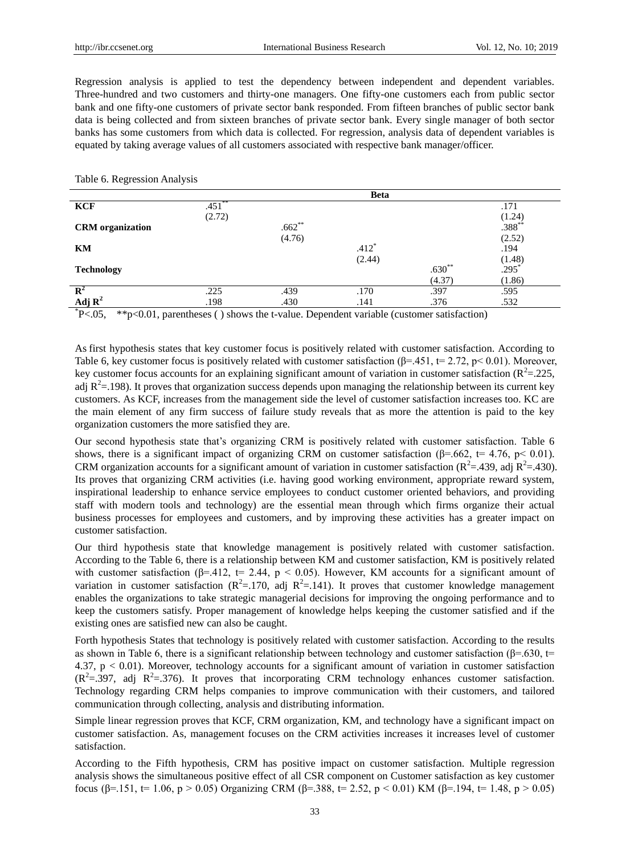Regression analysis is applied to test the dependency between independent and dependent variables. Three-hundred and two customers and thirty-one managers. One fifty-one customers each from public sector bank and one fifty-one customers of private sector bank responded. From fifteen branches of public sector bank data is being collected and from sixteen branches of private sector bank. Every single manager of both sector banks has some customers from which data is collected. For regression, analysis data of dependent variables is equated by taking average values of all customers associated with respective bank manager/officer.

## Table 6. Regression Analysis

|                         |           |          | <b>Beta</b> |          |                                  |  |
|-------------------------|-----------|----------|-------------|----------|----------------------------------|--|
| <b>KCF</b>              | $.451$ ** |          |             |          | .171                             |  |
|                         | (2.72)    |          |             |          |                                  |  |
| <b>CRM</b> organization |           | $.662**$ |             |          | $(1.24)$<br>$.388$ <sup>**</sup> |  |
|                         |           | (4.76)   |             |          | (2.52)                           |  |
| KM                      |           |          | $.412*$     |          | .194                             |  |
|                         |           |          | (2.44)      |          | $(1.48)$<br>$.295^*$             |  |
| <b>Technology</b>       |           |          |             | $.630**$ |                                  |  |
|                         |           |          |             | (4.37)   | (1.86)                           |  |
| $\mathbf{R}^2$          | .225      | .439     | .170        | .397     | .595                             |  |
| Adj $\mathbf{R}^2$      | .198      | .430     | .141        | .376     | .532                             |  |
|                         |           |          |             |          |                                  |  |

\* P<.05, \*\*p<0.01, parentheses ( ) shows the t-value. Dependent variable (customer satisfaction)

As first hypothesis states that key customer focus is positively related with customer satisfaction. According to Table 6, key customer focus is positively related with customer satisfaction ( $\beta$ =.451, t= 2.72, p< 0.01). Moreover, key customer focus accounts for an explaining significant amount of variation in customer satisfaction ( $R^2$ =.225, adj  $R^2$ =.198). It proves that organization success depends upon managing the relationship between its current key customers. As KCF, increases from the management side the level of customer satisfaction increases too. KC are the main element of any firm success of failure study reveals that as more the attention is paid to the key organization customers the more satisfied they are.

Our second hypothesis state that's organizing CRM is positively related with customer satisfaction. Table 6 shows, there is a significant impact of organizing CRM on customer satisfaction ( $\beta$ =.662, t= 4.76, p< 0.01). CRM organization accounts for a significant amount of variation in customer satisfaction ( $R^2$ =.439, adj  $R^2$ =.430). Its proves that organizing CRM activities (i.e. having good working environment, appropriate reward system, inspirational leadership to enhance service employees to conduct customer oriented behaviors, and providing staff with modern tools and technology) are the essential mean through which firms organize their actual business processes for employees and customers, and by improving these activities has a greater impact on customer satisfaction.

Our third hypothesis state that knowledge management is positively related with customer satisfaction. According to the Table 6, there is a relationship between KM and customer satisfaction, KM is positively related with customer satisfaction ( $\beta$ =.412, t= 2.44, p < 0.05). However, KM accounts for a significant amount of variation in customer satisfaction ( $R^2$ =.170, adj  $R^2$ =.141). It proves that customer knowledge management enables the organizations to take strategic managerial decisions for improving the ongoing performance and to keep the customers satisfy. Proper management of knowledge helps keeping the customer satisfied and if the existing ones are satisfied new can also be caught.

Forth hypothesis States that technology is positively related with customer satisfaction. According to the results as shown in Table 6, there is a significant relationship between technology and customer satisfaction ( $\beta$ =.630, t= 4.37, p < 0.01). Moreover, technology accounts for a significant amount of variation in customer satisfaction  $(R^2 = .397,$  adj  $R^2 = .376$ ). It proves that incorporating CRM technology enhances customer satisfaction. Technology regarding CRM helps companies to improve communication with their customers, and tailored communication through collecting, analysis and distributing information.

Simple linear regression proves that KCF, CRM organization, KM, and technology have a significant impact on customer satisfaction. As, management focuses on the CRM activities increases it increases level of customer satisfaction.

According to the Fifth hypothesis, CRM has positive impact on customer satisfaction. Multiple regression analysis shows the simultaneous positive effect of all CSR component on Customer satisfaction as key customer focus (β=.151, t= 1.06, p > 0.05) Organizing CRM (β=.388, t= 2.52, p < 0.01) KM (β=.194, t= 1.48, p > 0.05)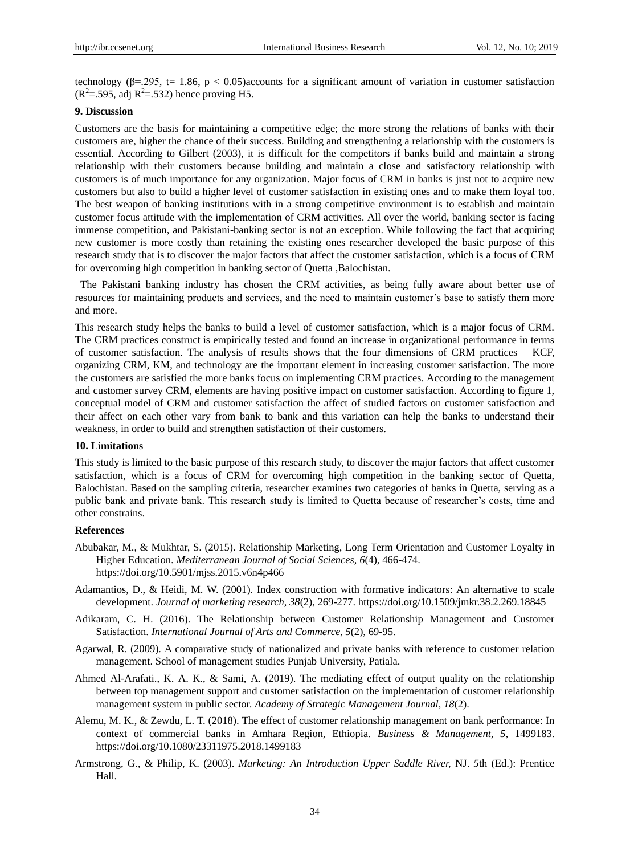technology ( $\beta$ =.295, t= 1.86, p < 0.05) accounts for a significant amount of variation in customer satisfaction  $(R^2 = .595, \text{ adj } R^2 = .532)$  hence proving H5.

## **9. Discussion**

Customers are the basis for maintaining a competitive edge; the more strong the relations of banks with their customers are, higher the chance of their success. Building and strengthening a relationship with the customers is essential. According to Gilbert (2003), it is difficult for the competitors if banks build and maintain a strong relationship with their customers because building and maintain a close and satisfactory relationship with customers is of much importance for any organization. Major focus of CRM in banks is just not to acquire new customers but also to build a higher level of customer satisfaction in existing ones and to make them loyal too. The best weapon of banking institutions with in a strong competitive environment is to establish and maintain customer focus attitude with the implementation of CRM activities. All over the world, banking sector is facing immense competition, and Pakistani-banking sector is not an exception. While following the fact that acquiring new customer is more costly than retaining the existing ones researcher developed the basic purpose of this research study that is to discover the major factors that affect the customer satisfaction, which is a focus of CRM for overcoming high competition in banking sector of Quetta ,Balochistan.

The Pakistani banking industry has chosen the CRM activities, as being fully aware about better use of resources for maintaining products and services, and the need to maintain customer's base to satisfy them more and more.

This research study helps the banks to build a level of customer satisfaction, which is a major focus of CRM. The CRM practices construct is empirically tested and found an increase in organizational performance in terms of customer satisfaction. The analysis of results shows that the four dimensions of CRM practices – KCF, organizing CRM, KM, and technology are the important element in increasing customer satisfaction. The more the customers are satisfied the more banks focus on implementing CRM practices. According to the management and customer survey CRM, elements are having positive impact on customer satisfaction. According to figure 1, conceptual model of CRM and customer satisfaction the affect of studied factors on customer satisfaction and their affect on each other vary from bank to bank and this variation can help the banks to understand their weakness, in order to build and strengthen satisfaction of their customers.

### **10. Limitations**

This study is limited to the basic purpose of this research study, to discover the major factors that affect customer satisfaction, which is a focus of CRM for overcoming high competition in the banking sector of Quetta, Balochistan. Based on the sampling criteria, researcher examines two categories of banks in Quetta, serving as a public bank and private bank. This research study is limited to Quetta because of researcher's costs, time and other constrains.

# **References**

- Abubakar, M., & Mukhtar, S. (2015). Relationship Marketing, Long Term Orientation and Customer Loyalty in Higher Education. *Mediterranean Journal of Social Sciences*, *6*(4), 466-474. https://doi.org/10.5901/mjss.2015.v6n4p466
- Adamantios, D., & Heidi, M. W. (2001). Index construction with formative indicators: An alternative to scale development. *Journal of marketing research*, *38*(2), 269-277. https://doi.org/10.1509/jmkr.38.2.269.18845
- Adikaram, C. H. (2016). The Relationship between Customer Relationship Management and Customer Satisfaction. *International Journal of Arts and Commerce*, *5*(2), 69-95.
- Agarwal, R. (2009). A comparative study of nationalized and private banks with reference to customer relation management. School of management studies Punjab University, Patiala.
- Ahmed Al-Arafati., K. A. K., & Sami, A. (2019). The mediating effect of output quality on the relationship between top management support and customer satisfaction on the implementation of customer relationship management system in public sector. *Academy of Strategic Management Journal, 18*(2).
- Alemu, M. K., & Zewdu, L. T. (2018). The effect of customer relationship management on bank performance: In context of commercial banks in Amhara Region, Ethiopia. *Business & Management*, *5,* 1499183. https://doi.org/10.1080/23311975.2018.1499183
- Armstrong, G., & Philip, K. (2003). *Marketing: An Introduction Upper Saddle River,* NJ. *5*th (Ed.): Prentice Hall.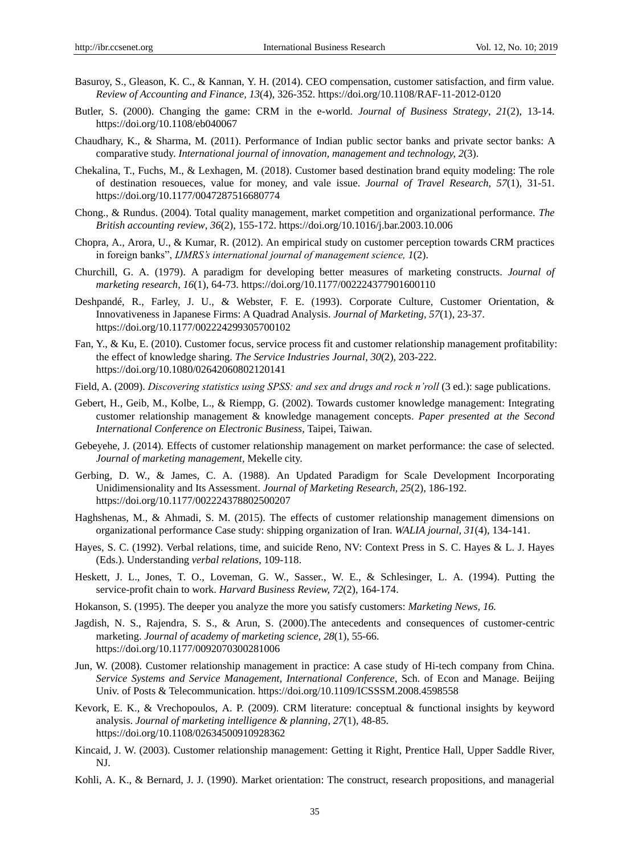- Basuroy, S., Gleason, K. C., & Kannan, Y. H. (2014). CEO compensation, customer satisfaction, and firm value. *Review of Accounting and Finance, 13*(4), 326-352. https://doi.org/10.1108/RAF-11-2012-0120
- Butler, S. (2000). Changing the game: CRM in the e-world. *Journal of Business Strategy*, *21*(2), 13-14. https://doi.org/10.1108/eb040067
- Chaudhary, K., & Sharma, M. (2011). Performance of Indian public sector banks and private sector banks: A comparative study. *International journal of innovation, management and technology, 2*(3).
- Chekalina, T., Fuchs, M., & Lexhagen, M. (2018). Customer based destination brand equity modeling: The role of destination resoueces, value for money, and vale issue. *Journal of Travel Research*, *57*(1), 31-51. https://doi.org/10.1177/0047287516680774
- Chong., & Rundus. (2004). Total quality management, market competition and organizational performance. *The British accounting review*, *36*(2), 155-172. https://doi.org/10.1016/j.bar.2003.10.006
- Chopra, A., Arora, U., & Kumar, R. (2012). An empirical study on customer perception towards CRM practices in foreign banks", *IJMRS's international journal of management science, 1*(2).
- Churchill, G. A. (1979). A paradigm for developing better measures of marketing constructs. *Journal of marketing research, 16*(1), 64-73. https://doi.org/10.1177/002224377901600110
- Deshpandé, R., Farley, J. U., & Webster, F. E. (1993). Corporate Culture, Customer Orientation, & Innovativeness in Japanese Firms: A Quadrad Analysis. *Journal of Marketing, 57*(1), 23-37. https://doi.org/10.1177/002224299305700102
- Fan, Y., & Ku, E. (2010). Customer focus, service process fit and customer relationship management profitability: the effect of knowledge sharing. *The Service Industries Journal*, *30*(2), 203-222. https://doi.org/10.1080/02642060802120141
- Field, A. (2009). *Discovering statistics using SPSS: and sex and drugs and rock n'roll* (3 ed.): sage publications.
- Gebert, H., Geib, M., Kolbe, L., & Riempp, G. (2002). Towards customer knowledge management: Integrating customer relationship management & knowledge management concepts. *Paper presented at the Second International Conference on Electronic Business*, Taipei, Taiwan.
- Gebeyehe, J. (2014). Effects of customer relationship management on market performance: the case of selected. *Journal of marketing management,* Mekelle city.
- Gerbing, D. W., & James, C. A. (1988). An Updated Paradigm for Scale Development Incorporating Unidimensionality and Its Assessment. *Journal of Marketing Research, 25*(2), 186-192. https://doi.org/10.1177/002224378802500207
- Haghshenas, M., & Ahmadi, S. M. (2015). The effects of customer relationship management dimensions on organizational performance Case study: shipping organization of Iran. *WALIA journal, 31*(4), 134-141.
- Hayes, S. C. (1992). Verbal relations, time, and suicide Reno, NV: Context Press in S. C. Hayes & L. J. Hayes (Eds.). Understanding *verbal relations*, 109-118.
- Heskett, J. L., Jones, T. O., Loveman, G. W., Sasser., W. E., & Schlesinger, L. A. (1994). Putting the service-profit chain to work. *Harvard Business Review, 72*(2), 164-174.
- Hokanson, S. (1995). The deeper you analyze the more you satisfy customers: *Marketing News, 16.*
- Jagdish, N. S., Rajendra, S. S., & Arun, S. (2000).The antecedents and consequences of customer-centric marketing. *Journal of academy of marketing science, 28*(1), 55-66. https://doi.org/10.1177/0092070300281006
- Jun, W. (2008). Customer relationship management in practice: A case study of Hi-tech company from China. *Service Systems and Service Management, International Conference*, Sch. of Econ and Manage. Beijing Univ. of Posts & Telecommunication. https://doi.org/10.1109/ICSSSM.2008.4598558
- Kevork, E. K., & Vrechopoulos, A. P. (2009). CRM literature: conceptual & functional insights by keyword analysis. *Journal of marketing intelligence & planning*, *27*(1), 48-85. https://doi.org/10.1108/02634500910928362
- Kincaid, J. W. (2003). Customer relationship management: Getting it Right, Prentice Hall, Upper Saddle River, NJ.
- Kohli, A. K., & Bernard, J. J. (1990). Market orientation: The construct, research propositions, and managerial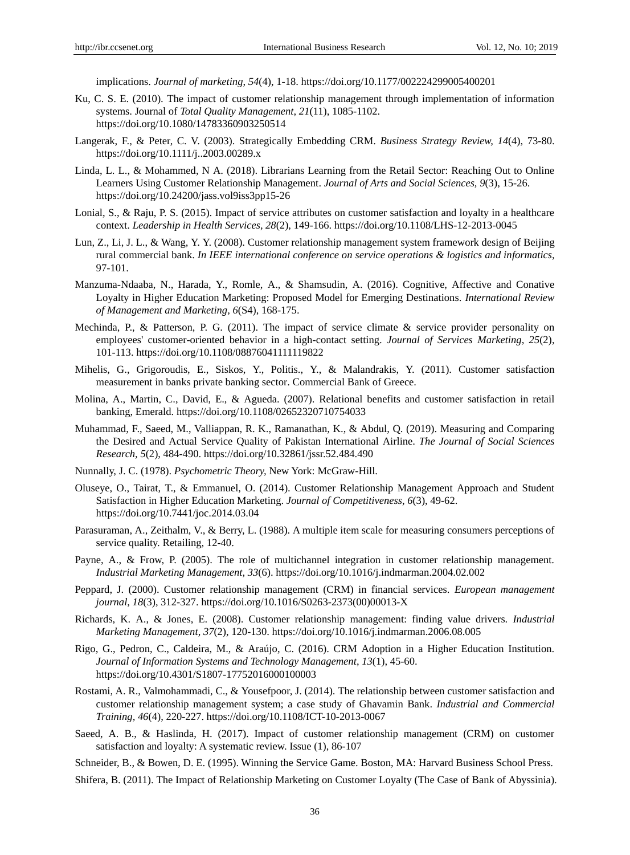implications. *Journal of marketing*, *54*(4), 1-18. https://doi.org/10.1177/002224299005400201

- Ku, C. S. E. (2010). The impact of customer relationship management through implementation of information systems. Journal of *Total Quality Management*, *21*(11), 1085-1102. https://doi.org/10.1080/14783360903250514
- Langerak, F., & Peter, C. V. (2003). Strategically Embedding CRM. *Business Strategy Review, 14*(4), 73-80. https://doi.org/10.1111/j..2003.00289.x
- Linda, L. L., & Mohammed, N A. (2018). Librarians Learning from the Retail Sector: Reaching Out to Online Learners Using Customer Relationship Management. *Journal of Arts and Social Sciences, 9*(3), 15-26. https://doi.org/10.24200/jass.vol9iss3pp15-26
- Lonial, S., & Raju, P. S. (2015). Impact of service attributes on customer satisfaction and loyalty in a healthcare context. *Leadership in Health Services, 28*(2), 149-166. https://doi.org/10.1108/LHS-12-2013-0045
- Lun, Z., Li, J. L., & Wang, Y. Y. (2008). Customer relationship management system framework design of Beijing rural commercial bank. *In IEEE international conference on service operations & logistics and informatics,*  97-101.
- Manzuma-Ndaaba, N., Harada, Y., Romle, A., & Shamsudin, A. (2016). Cognitive, Affective and Conative Loyalty in Higher Education Marketing: Proposed Model for Emerging Destinations. *International Review of Management and Marketing, 6*(S4), 168-175.
- Mechinda, P., & Patterson, P. G. (2011). The impact of service climate & service provider personality on employees' customer-oriented behavior in a high-contact setting. *Journal of Services Marketing*, *25*(2), 101-113. https://doi.org/10.1108/08876041111119822
- Mihelis, G., Grigoroudis, E., Siskos, Y., Politis., Y., & Malandrakis, Y. (2011). Customer satisfaction measurement in banks private banking sector. Commercial Bank of Greece.
- Molina, A., Martin, C., David, E., & Agueda. (2007). Relational benefits and customer satisfaction in retail banking, Emerald. https://doi.org/10.1108/02652320710754033
- Muhammad, F., Saeed, M., Valliappan, R. K., Ramanathan, K., & Abdul, Q. (2019). Measuring and Comparing the Desired and Actual Service Quality of Pakistan International Airline. *The Journal of Social Sciences Research, 5*(2), 484-490. https://doi.org/10.32861/jssr.52.484.490
- Nunnally, J. C. (1978). *Psychometric Theory,* New York: McGraw-Hill.
- Oluseye, O., Tairat, T., & Emmanuel, O. (2014). Customer Relationship Management Approach and Student Satisfaction in Higher Education Marketing. *Journal of Competitiveness*, *6*(3), 49-62. https://doi.org/10.7441/joc.2014.03.04
- Parasuraman, A., Zeithalm, V., & Berry, L. (1988). A multiple item scale for measuring consumers perceptions of service quality. Retailing*,* 12-40.
- Payne, A., & Frow, P. (2005). The role of multichannel integration in customer relationship management. *Industrial Marketing Management*, *33*(6). https://doi.org/10.1016/j.indmarman.2004.02.002
- Peppard, J. (2000). Customer relationship management (CRM) in financial services. *European management journal*, *18*(3), 312-327. https://doi.org/10.1016/S0263-2373(00)00013-X
- Richards, K. A., & Jones, E. (2008). Customer relationship management: finding value drivers. *Industrial Marketing Management*, *37*(2), 120-130. https://doi.org/10.1016/j.indmarman.2006.08.005
- Rigo, G., Pedron, C., Caldeira, M., & Araújo, C. (2016). CRM Adoption in a Higher Education Institution. *Journal of Information Systems and Technology Management*, *13*(1), 45-60. https://doi.org/10.4301/S1807-17752016000100003
- Rostami, A. R., Valmohammadi, C., & Yousefpoor, J. (2014). The relationship between customer satisfaction and customer relationship management system; a case study of Ghavamin Bank. *Industrial and Commercial Training, 46*(4), 220-227. https://doi.org/10.1108/ICT-10-2013-0067
- Saeed, A. B., & Haslinda, H. (2017). Impact of customer relationship management (CRM) on customer satisfaction and loyalty: A systematic review. Issue (1), 86-107

Schneider, B., & Bowen, D. E. (1995). Winning the Service Game. Boston, MA: Harvard Business School Press.

Shifera, B. (2011). The Impact of Relationship Marketing on Customer Loyalty (The Case of Bank of Abyssinia).